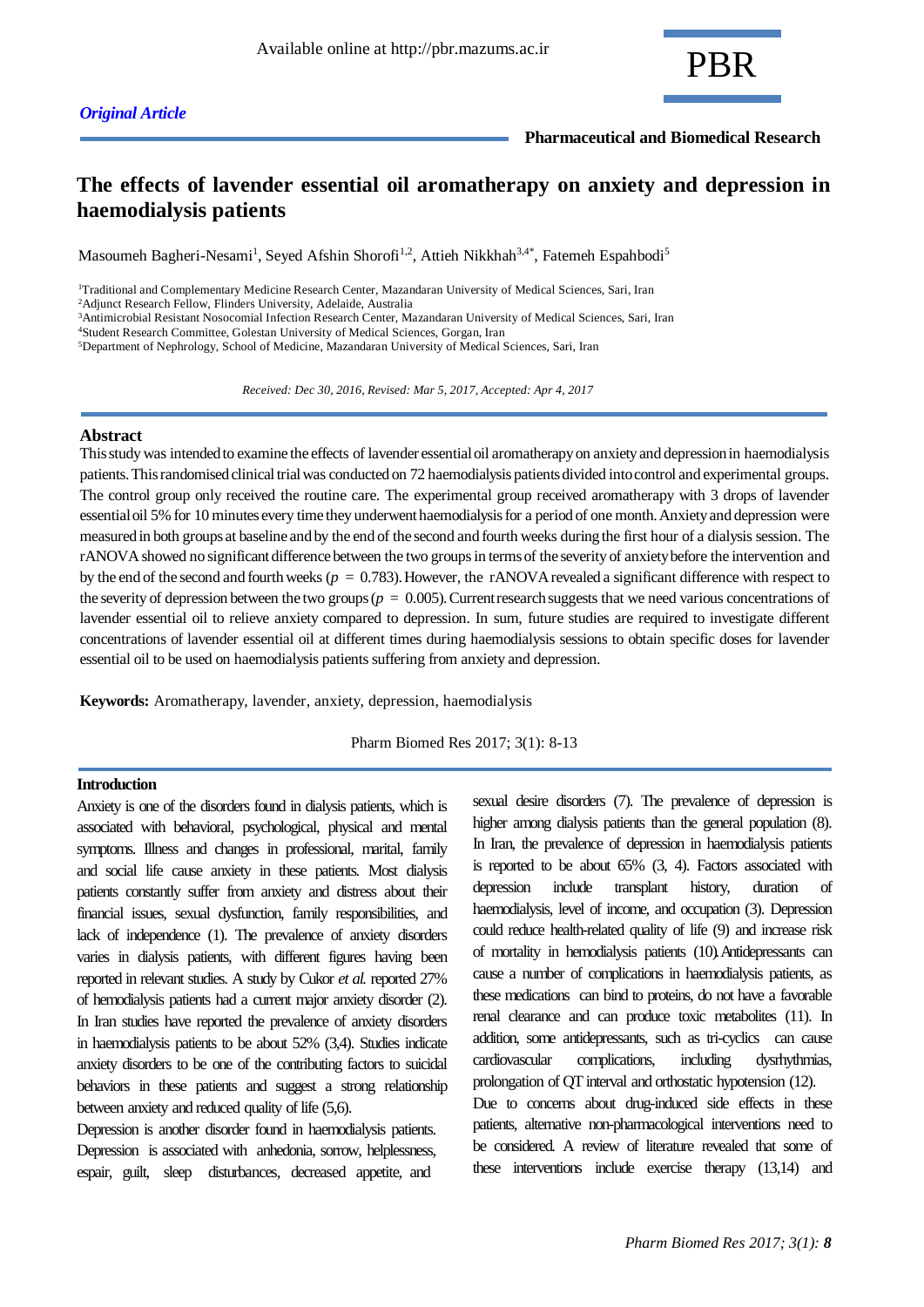**Pharmaceutical and Biomedical Research**

# **The effects of lavender essential oil aromatherapy on anxiety and depression in haemodialysis patients**

Masoumeh Bagheri-Nesami<sup>1</sup>, Seyed Afshin Shorofi<sup>1,2</sup>, Attieh Nikkhah<sup>3,4\*</sup>, Fatemeh Espahbodi<sup>5</sup>

<sup>1</sup>Traditional and Complementary Medicine Research Center, Mazandaran University of Medical Sciences, Sari, Iran

<sup>2</sup>Adjunct Research Fellow, Flinders University, Adelaide, Australia

<sup>3</sup>Antimicrobial Resistant Nosocomial Infection Research Center, Mazandaran University of Medical Sciences, Sari, Iran

<sup>4</sup>Student Research Committee, Golestan University of Medical Sciences, Gorgan, Iran

<sup>5</sup>Department of Nephrology, School of Medicine, Mazandaran University of Medical Sciences, Sari, Iran

 *Received: Dec 30, 2016, Revised: Mar 5, 2017, Accepted: Apr 4, 2017*

### **Abstract**

This study was intended to examine the effects of lavender essential oil aromatherapy on anxiety and depression in haemodialysis patients. This randomised clinical trial was conducted on 72 haemodialysis patients divided into control and experimental groups. The control group only received the routine care. The experimental group received aromatherapy with 3 drops of lavender essential oil 5% for 10 minutes every time they underwent haemodialysis for a period of one month. Anxiety and depression were measured in both groups at baseline and by the end of the second and fourth weeks during the first hour of a dialysis session. The rANOVA showed no significant difference between the two groups in terms of the severity of anxiety before the intervention and by the end of the second and fourth weeks (*p* = 0.783). However, the rANOVA revealed a significant difference with respect to the severity of depression between the two groups ( $p = 0.005$ ). Current research suggests that we need various concentrations of lavender essential oil to relieve anxiety compared to depression. In sum, future studies are required to investigate different concentrations of lavender essential oil at different times during haemodialysis sessions to obtain specific doses for lavender essential oil to be used on haemodialysis patients suffering from anxiety and depression.

**Keywords:** Aromatherapy, lavender, anxiety, depression, haemodialysis

Pharm Biomed Res 2017; 3(1): 8-13

#### **Introduction**

Anxiety is one of the disorders found in dialysis patients, which is associated with behavioral, psychological, physical and mental symptoms. Illness and changes in professional, marital, family and social life cause anxiety in these patients. Most dialysis patients constantly suffer from anxiety and distress about their financial issues, sexual dysfunction, family responsibilities, and lack of independence (1). The prevalence of anxiety disorders varies in dialysis patients, with different figures having been reported in relevant studies. A study by Cukor *et al.* reported 27% of hemodialysis patients had a current major anxiety disorder (2). In Iran studies have reported the prevalence of anxiety disorders in haemodialysis patients to be about 52% (3,4). Studies indicate anxiety disorders to be one of the contributing factors to suicidal behaviors in these patients and suggest a strong relationship between anxiety and reduced quality of life (5,6).

Depression is another disorder found in haemodialysis patients. Depression is associated with anhedonia, sorrow, helplessness, espair, guilt, sleep disturbances, decreased appetite, and

sexual desire disorders (7). The prevalence of depression is higher among dialysis patients than the general population (8). In Iran, the prevalence of depression in haemodialysis patients is reported to be about 65% (3, 4). Factors associated with depression include transplant history, duration haemodialysis, level of income, and occupation (3). Depression could reduce health-related quality of life (9) and increase risk of mortality in hemodialysis patients (10).Antidepressants can cause a number of complications in haemodialysis patients, as these medications can bind to proteins, do not have a favorable renal clearance and can produce toxic metabolites (11). In addition, some antidepressants, such as tri-cyclics can cause cardiovascular complications, including dysrhythmias, prolongation of QT interval and orthostatic hypotension (12). Due to concerns about drug-induced side effects in these patients, alternative non-pharmacological interventions need to be considered. A review of literature revealed that some of

these interventions include exercise therapy (13,14) and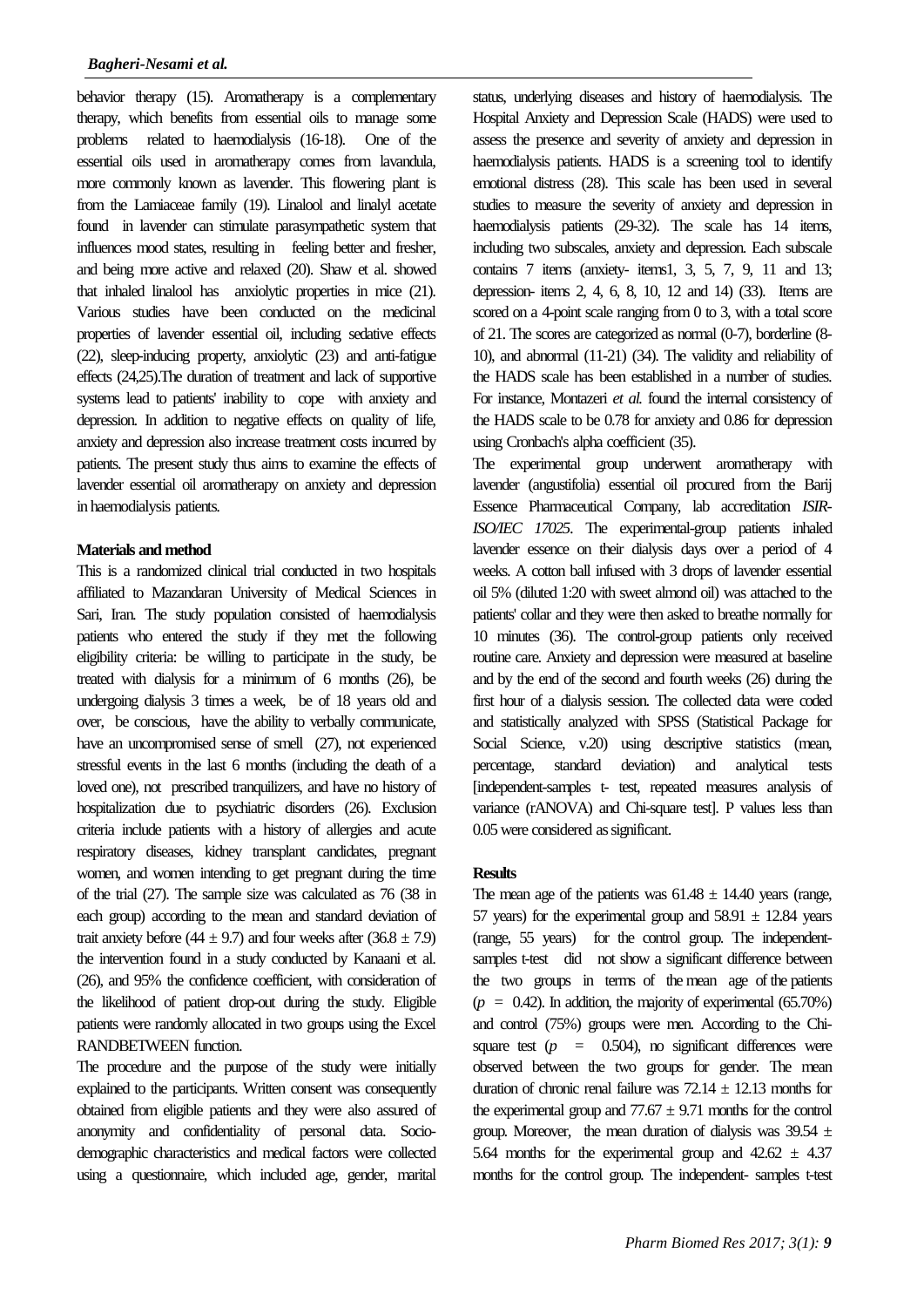behavior therapy (15). Aromatherapy is a complementary therapy, which benefits from essential oils to manage some problems related to haemodialysis (16-18). One of the essential oils used in aromatherapy comes from lavandula, more commonly known as lavender. This flowering plant is from the Lamiaceae family (19). Linalool and linalyl acetate found in lavender can stimulate parasympathetic system that influences mood states, resulting in feeling better and fresher, and being more active and relaxed (20). [Shaw et al.](http://www.sciencedirect.com/science/article/pii/S0944711309002578#bib39) showed that inhaled linalool has anxiolytic properties in mice (21). Various studies have been conducted on the medicinal properties of lavender essential oil, including sedative effects (22), sleep-inducing property, anxiolytic (23) and anti-fatigue effects (24,25).The duration of treatment and lack of supportive systems lead to patients' inability to cope with anxiety and depression. In addition to negative effects on quality of life, anxiety and depression also increase treatment costs incurred by patients. The present study thus aims to examine the effects of lavender essential oil aromatherapy on anxiety and depression in haemodialysis patients.

# **Materials and method**

This is a randomized clinical trial conducted in two hospitals affiliated to Mazandaran University of Medical Sciences in Sari, Iran. The study population consisted of haemodialysis patients who entered the study if they met the following eligibility criteria: be willing to participate in the study, be treated with dialysis for a minimum of 6 months (26), be undergoing dialysis 3 times a week, be of 18 years old and over, be conscious, have the ability to verbally communicate, have an uncompromised sense of smell (27), not experienced stressful events in the last 6 months (including the death of a loved one), not prescribed tranquilizers, and have no history of hospitalization due to psychiatric disorders (26). Exclusion criteria include patients with a history of allergies and acute respiratory diseases, kidney transplant candidates, pregnant women, and women intending to get pregnant during the time of the trial (27). The sample size was calculated as 76 (38 in each group) according to the mean and standard deviation of trait anxiety before (44  $\pm$  9.7) and four weeks after (36.8  $\pm$  7.9) the intervention found in a study conducted by Kanaani et al. (26), and 95% the confidence coefficient, with consideration of the likelihood of patient drop-out during the study. Eligible patients were randomly allocated in two groups using the Excel RANDBETWEEN function.

The procedure and the purpose of the study were initially explained to the participants. Written consent was consequently obtained from eligible patients and they were also assured of anonymity and confidentiality of personal data. Sociodemographic characteristics and medical factors were collected using a questionnaire, which included age, gender, marital

status, underlying diseases and history of haemodialysis. The Hospital Anxiety and Depression Scale (HADS) were used to assess the presence and severity of anxiety and depression in haemodialysis patients. HADS is a screening tool to identify emotional distress (28). This scale has been used in several studies to measure the severity of anxiety and depression in haemodialysis patients (29-32). The scale has 14 items, including two subscales, anxiety and depression. Each subscale contains 7 items (anxiety- items1, 3, 5, 7, 9, 11 and 13; depression- items 2, 4, 6, 8, 10, 12 and 14) (33). Items are scored on a 4-point scale ranging from 0 to 3, with a total score of 21. The scores are categorized as normal (0-7), borderline (8- 10), and abnormal (11-21) (34). The validity and reliability of the HADS scale has been established in a number of studies. For instance, Montazeri *et al.* found the internal consistency of the HADS scale to be 0.78 for anxiety and 0.86 for depression using Cronbach's alpha coefficient (35).

The experimental group underwent aromatherapy with lavender [\(angustifolia\)](https://en.wikipedia.org/wiki/Lavandula_angustifolia) essential oil procured from the Barij Essence Pharmaceutical Company, lab accreditation *ISIR-ISO/IEC 17025*. The experimental-group patients inhaled lavender essence on their dialysis days over a period of 4 weeks. A cotton ball infused with 3 drops of lavender essential oil 5% (diluted 1:20 with sweet almond oil) was attached to the patients' collar and they were then asked to breathe normally for 10 minutes (36). The control-group patients only received routine care. Anxiety and depression were measured at baseline and by the end of the second and fourth weeks (26) during the first hour of a dialysis session. The collected data were coded and statistically analyzed with SPSS (Statistical Package for Social Science, v.20) using descriptive statistics (mean, percentage, standard deviation) and analytical tests [independent-samples t- test, repeated measures analysis of variance (rANOVA) and Chi-square test]. P values less than 0.05 were considered as significant.

# **Results**

The mean age of the patients was  $61.48 \pm 14.40$  years (range, 57 years) for the experimental group and  $58.91 \pm 12.84$  years (range, 55 years) for the control group. The independentsamples t-test did not show a significant difference between the two groups in terms of the mean age of the patients  $(p = 0.42)$ . In addition, the majority of experimental  $(65.70\%)$ and control (75%) groups were men. According to the Chisquare test  $(p = 0.504)$ , no significant differences were observed between the two groups for gender. The mean duration of chronic renal failure was  $72.14 \pm 12.13$  months for the experimental group and  $77.67 \pm 9.71$  months for the control group. Moreover, the mean duration of dialysis was  $39.54 \pm$ 5.64 months for the experimental group and  $42.62 \pm 4.37$ months for the control group. The independent- samples t-test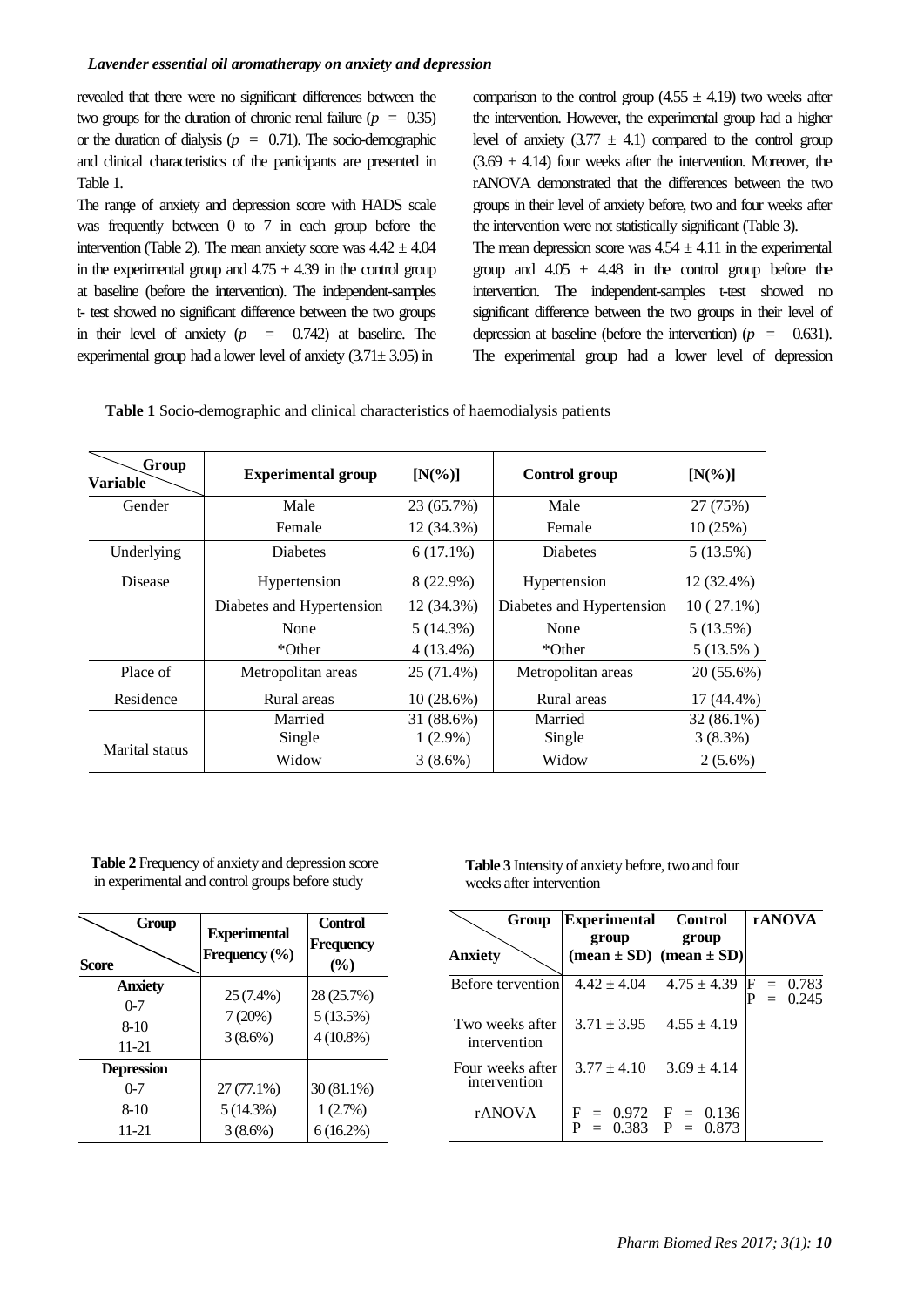revealed that there were no significant differences between the two groups for the duration of chronic renal failure  $(p = 0.35)$ or the duration of dialysis ( $p = 0.71$ ). The socio-demographic and clinical characteristics of the participants are presented in Table 1.

The range of anxiety and depression score with HADS scale was frequently between 0 to 7 in each group before the intervention (Table 2). The mean anxiety score was  $4.42 \pm 4.04$ in the experimental group and  $4.75 \pm 4.39$  in the control group at baseline (before the intervention). The independent-samples t- test showed no significant difference between the two groups in their level of anxiety  $(p = 0.742)$  at baseline. The experimental group had a lower level of anxiety  $(3.71 \pm 3.95)$  in

comparison to the control group  $(4.55 \pm 4.19)$  two weeks after the intervention. However, the experimental group had a higher level of anxiety  $(3.77 \pm 4.1)$  compared to the control group  $(3.69 \pm 4.14)$  four weeks after the intervention. Moreover, the rANOVA demonstrated that the differences between the two groups in their level of anxiety before, two and four weeks after the intervention were not statistically significant (Table 3).

The mean depression score was  $4.54 \pm 4.11$  in the experimental group and  $4.05 \pm 4.48$  in the control group before the intervention. The independent-samples t-test showed no significant difference between the two groups in their level of depression at baseline (before the intervention)  $(p = 0.631)$ . The experimental group had a lower level of depression

| Group<br><b>Variable</b> | <b>Experimental group</b> | $[N(\%)]$   | Control group             | $[N(\%)]$    |
|--------------------------|---------------------------|-------------|---------------------------|--------------|
| Gender                   | Male                      | 23 (65.7%)  | Male                      | 27 (75%)     |
|                          | Female                    | 12 (34.3%)  | Female                    | 10(25%)      |
| Underlying               | <b>Diabetes</b>           | $6(17.1\%)$ | Diabetes                  | 5(13.5%)     |
| Disease                  | Hypertension              | 8 (22.9%)   | Hypertension              | 12 (32.4%)   |
|                          | Diabetes and Hypertension | 12 (34.3%)  | Diabetes and Hypertension | $10(27.1\%)$ |
|                          | None                      | 5(14.3%)    | None                      | 5(13.5%)     |
|                          | *Other                    | $4(13.4\%)$ | *Other                    | $5(13.5\%)$  |
| Place of                 | Metropolitan areas        | 25 (71.4%)  | Metropolitan areas        | $20(55.6\%)$ |
| Residence                | Rural areas               | 10(28.6%)   | Rural areas               | $17(44.4\%)$ |
|                          | Married                   | 31 (88.6%)  | Married                   | $32(86.1\%)$ |
|                          | Single                    | $1(2.9\%)$  | Single                    | $3(8.3\%)$   |
| Marital status           | Widow                     | $3(8.6\%)$  | Widow                     | $2(5.6\%)$   |

**Table 2** Frequency of anxiety and depression score in experimental and control groups before study

| Group<br><b>Score</b>                           | <b>Experimental</b><br>Frequency $(\%$ | <b>Control</b><br>Frequency<br>$(\%)$ |
|-------------------------------------------------|----------------------------------------|---------------------------------------|
| <b>Anxiety</b><br>$0 - 7$<br>$8-10$<br>11-21    | 25 (7.4%)<br>7(20%)<br>$3(8.6\%)$      | 28 (25.7%)<br>5(13.5%)<br>$4(10.8\%)$ |
| <b>Depression</b><br>$0 - 7$<br>$8-10$<br>11-21 | 27 (77.1%)<br>5(14.3%)<br>3(8.6%)      | 30 (81.1%)<br>1(2.7%)<br>$6(16.2\%)$  |

**Table 3** Intensity of anxiety before, two and four weeks after intervention

| Group                            | <b>Experimental</b>                                | <b>Control</b>           | <b>rANOVA</b>            |
|----------------------------------|----------------------------------------------------|--------------------------|--------------------------|
| Anxietv                          | group<br>$(\text{mean} \pm \text{SD})$             | group<br>$(mean \pm SD)$ |                          |
| Before tervention                | $4.42 \pm 4.04$                                    | $4.75 \pm 4.39$          | $F = 0.783$<br>$= 0.245$ |
| Two weeks after<br>intervention  | $3.71 \pm 3.95$                                    | $4.55 \pm 4.19$          |                          |
| Four weeks after<br>intervention | $3.77 + 4.10$                                      | $3.69 \pm 4.14$          |                          |
| rANOVA                           | $F = 0.972$ $F = 0.136$<br>$P = 0.383$ $P = 0.873$ |                          |                          |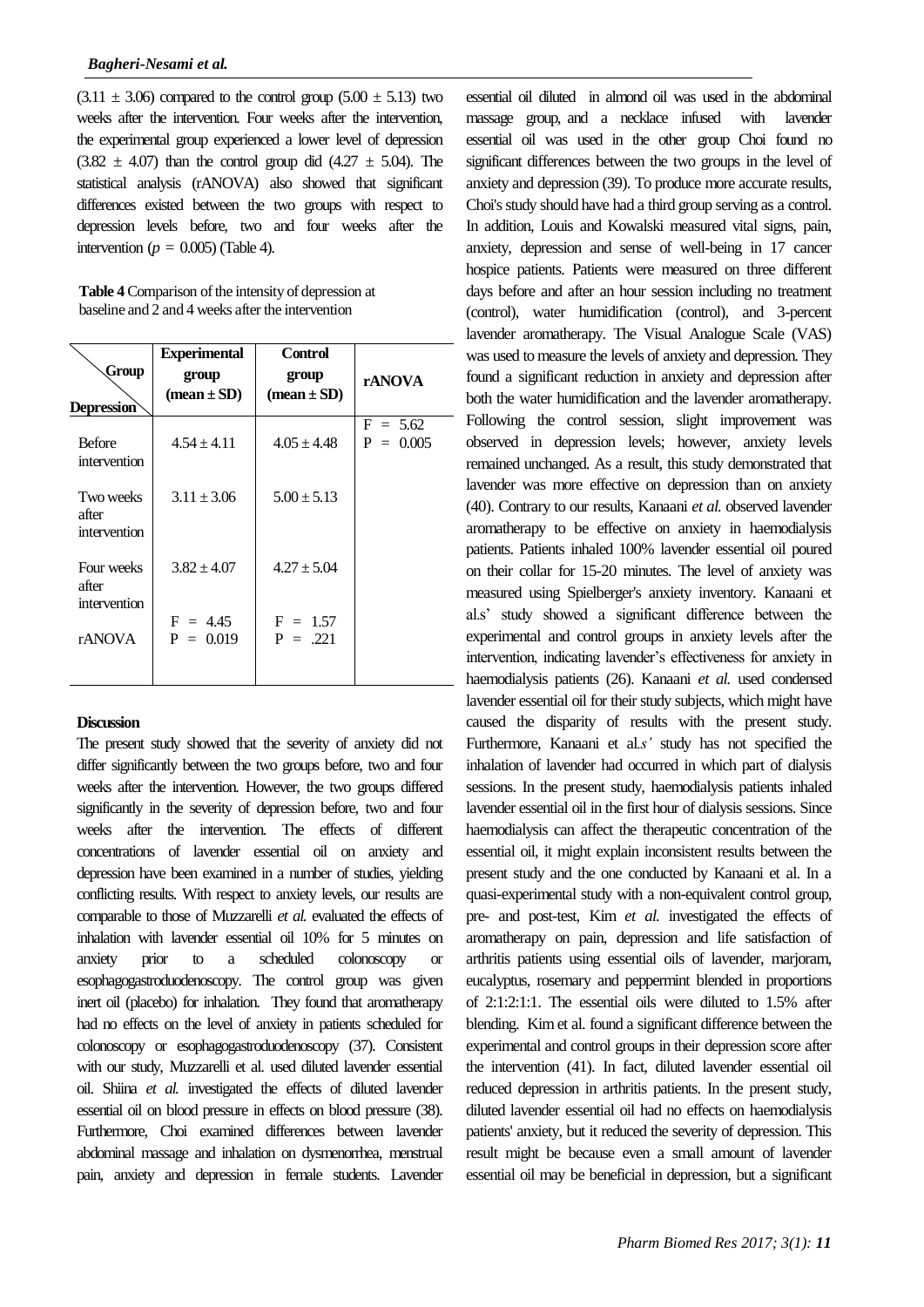$(3.11 \pm 3.06)$  compared to the control group  $(5.00 \pm 5.13)$  two weeks after the intervention. Four weeks after the intervention, the experimental group experienced a lower level of depression  $(3.82 \pm 4.07)$  than the control group did  $(4.27 \pm 5.04)$ . The statistical analysis (rANOVA) also showed that significant differences existed between the two groups with respect to depression levels before, two and four weeks after the intervention ( $p = 0.005$ ) (Table 4).

| Table 4 Comparison of the intensity of depression at |
|------------------------------------------------------|
| baseline and 2 and 4 weeks after the intervention    |

| Group<br><b>Depression</b>          | <b>Experimental</b><br>group<br>$mean \pm SD$ | <b>Control</b><br>group<br>$mean \pm SD$ | rANOVA                    |
|-------------------------------------|-----------------------------------------------|------------------------------------------|---------------------------|
| <b>Before</b><br>intervention       | $4.54 \pm 4.11$                               | $4.05 \pm 4.48$                          | $F = 5.62$<br>$P = 0.005$ |
| Two weeks<br>after<br>intervention  | $3.11 \pm 3.06$                               | $5.00 \pm 5.13$                          |                           |
| Four weeks<br>after<br>intervention | $3.82 + 4.07$                                 | $4.27 \pm 5.04$                          |                           |
| <b>rANOVA</b>                       | $F = 4.45$<br>$P = 0.019$                     | $F = 1.57$<br>$P = 221$                  |                           |

# **Discussion**

The present study showed that the severity of anxiety did not differ significantly between the two groups before, two and four weeks after the intervention. However, the two groups differed significantly in the severity of depression before, two and four weeks after the intervention. The effects of different concentrations of lavender essential oil on anxiety and depression have been examined in a number of studies, yielding conflicting results. With respect to anxiety levels, our results are comparable to those of Muzzarelli *et al.* evaluated the effects of inhalation with lavender essential oil 10% for 5 minutes on anxiety prior to a scheduled colonoscopy or esophagogastroduodenoscopy. The control group was given inert oil (placebo) for inhalation. They found that aromatherapy had no effects on the level of anxiety in patients scheduled for colonoscopy or esophagogastroduodenoscopy (37). Consistent with our study, Muzzarelli et al. used diluted lavender essential oil. Shiina *et al.* investigated the effects of diluted lavender essential oil on blood pressure in effects on blood pressure (38). Furthermore, Choi examined differences between lavender abdominal massage and inhalation on dysmenorrhea, menstrual pain, anxiety and depression in female students. Lavender

essential oil diluted in almond oil was used in the abdominal massage group, and a necklace infused with lavender essential oil was used in the other group Choi found no significant differences between the two groups in the level of anxiety and depression (39). To produce more accurate results, Choi's study should have had a third group serving as a control. In addition, Louis and Kowalski measured vital signs, pain, anxiety, depression and sense of well-being in 17 cancer hospice patients. Patients were measured on three different days before and after an hour session including no treatment (control), water humidification (control), and 3-percent lavender aromatherapy. The Visual Analogue Scale (VAS) was used to measure the levels of anxiety and depression. They found a significant reduction in anxiety and depression after both the water humidification and the lavender aromatherapy. Following the control session, slight improvement was observed in depression levels; however, anxiety levels remained unchanged. As a result, this study demonstrated that lavender was more effective on depression than on anxiety (40). Contrary to our results, Kanaani *et al.* observed lavender aromatherapy to be effective on anxiety in haemodialysis patients. Patients inhaled 100% lavender essential oil poured on their collar for 15-20 minutes. The level of anxiety was measured using Spielberger's anxiety inventory. Kanaani et al.s' study showed a significant difference between the experimental and control groups in anxiety levels after the intervention, indicating lavender's effectiveness for anxiety in haemodialysis patients (26). Kanaani *et al.* used condensed lavender essential oil for their study subjects, which might have caused the disparity of results with the present study. Furthermore, Kanaani et al*.s'* study has not specified the inhalation of lavender had occurred in which part of dialysis sessions. In the present study, haemodialysis patients inhaled lavender essential oil in the first hour of dialysis sessions. Since haemodialysis can affect the therapeutic concentration of the essential oil, it might explain inconsistent results between the present study and the one conducted by Kanaani et al. In a quasi-experimental study with a non-equivalent control group, pre- and post-test, Kim *et al.* investigated the effects of aromatherapy on pain, depression and life satisfaction of arthritis patients using essential oils of lavender, marjoram, eucalyptus, rosemary and peppermint blended in proportions of 2:1:2:1:1. The essential oils were diluted to 1.5% after blending. Kim et al. found a significant difference between the experimental and control groups in their depression score after the intervention (41). In fact, diluted lavender essential oil reduced depression in arthritis patients. In the present study, diluted lavender essential oil had no effects on haemodialysis patients' anxiety, but it reduced the severity of depression. This result might be because even a small amount of lavender essential oil may be beneficial in depression, but a significant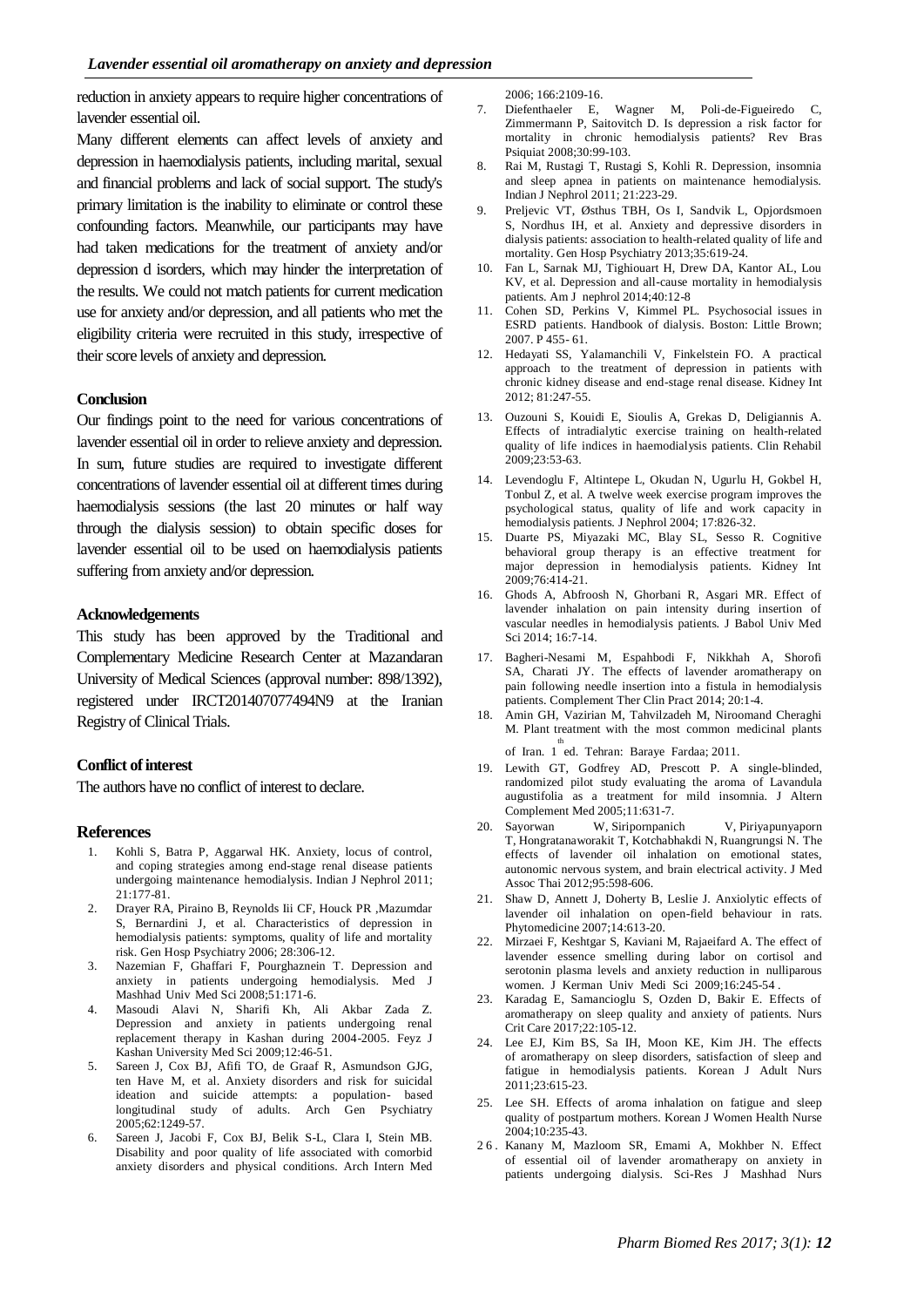reduction in anxiety appears to require higher concentrations of lavender essential oil.

Many different elements can affect levels of anxiety and depression in haemodialysis patients, including marital, sexual and financial problems and lack of social support. The study's primary limitation is the inability to eliminate or control these confounding factors. Meanwhile, our participants may have had taken medications for the treatment of anxiety and/or depression d isorders, which may hinder the interpretation of the results. We could not match patients for current medication use for anxiety and/or depression, and all patients who met the eligibility criteria were recruited in this study, irrespective of their score levels of anxiety and depression.

# **Conclusion**

Our findings point to the need for various concentrations of lavender essential oil in order to relieve anxiety and depression. In sum, future studies are required to investigate different concentrations of lavender essential oil at different times during haemodialysis sessions (the last 20 minutes or half way through the dialysis session) to obtain specific doses for lavender essential oil to be used on haemodialysis patients suffering from anxiety and/or depression.

### **Acknowledgements**

This study has been approved by the Traditional and Complementary Medicine Research Center at Mazandaran University of Medical Sciences (approval number: 898/1392), registered under IRCT201407077494N9 at the Iranian Registry of Clinical Trials.

#### **Conflict of interest**

The authors have no conflict of interest to declare.

#### **References**

- 1. Kohli S, Batra P, Aggarwal HK. Anxiety, locus of control, and coping strategies among end-stage renal disease patients undergoing maintenance hemodialysis. Indian J Nephrol 2011; 21:177-81.
- 2. Drayer RA, Piraino B, Reynolds Iii CF, Houck PR ,Mazumdar S, Bernardini J, et al. Characteristics of depression in hemodialysis patients: symptoms, quality of life and mortality risk. Gen Hosp Psychiatry 2006; 28:306-12.
- 3. Nazemian F, Ghaffari F, Pourghaznein T. Depression and anxiety in patients undergoing hemodialysis. Med J Mashhad Univ Med Sci 2008;51:171-6.
- 4. Masoudi Alavi N, Sharifi Kh, Ali Akbar Zada Z. Depression and anxiety in patients undergoing renal replacement therapy in Kashan during 2004-2005. Feyz J Kashan University Med Sci 2009;12:46-51.
- 5. Sareen J, Cox BJ, Afifi TO, de Graaf R, Asmundson GJG, ten Have M, et al. Anxiety disorders and risk for suicidal ideation and suicide attempts: a population- based longitudinal study of adults. Arch Gen Psychiatry 2005;62:1249-57.
- 6. Sareen J, Jacobi F, Cox BJ, Belik S-L, Clara I, Stein MB. Disability and poor quality of life associated with comorbid anxiety disorders and physical conditions. Arch Intern Med

2006; 166:2109-16.

- 7. Diefenthaeler E, Wagner M, Poli-de-Figueiredo C, Zimmermann P, Saitovitch D. Is depression a risk factor for mortality in chronic hemodialysis patients? Rev Bras Psiquiat 2008;30:99-103.
- 8. Rai M, Rustagi T, Rustagi S, Kohli R. Depression, insomnia and sleep apnea in patients on maintenance hemodialysis. Indian J Nephrol 2011; 21:223-29.
- 9. Preljevic VT, Østhus TBH, Os I, Sandvik L, Opjordsmoen S, Nordhus IH, et al. Anxiety and depressive disorders in dialysis patients: association to health-related quality of life and mortality. [Gen Hosp Psychiatry](https://www.ncbi.nlm.nih.gov/pubmed/23896282) 2013;35:619-24.
- 10. Fan L, Sarnak MJ, Tighiouart H, Drew DA, Kantor AL, Lou KV, et al. Depression and all-cause mortality in hemodialysis patients. Am J nephrol 2014;40:12-8
- 11. Cohen SD, Perkins V, Kimmel PL. Psychosocial issues in ESRD patients. Handbook of dialysis. Boston: Little Brown; 2007. P 455- 61.
- 12. Hedayati SS, Yalamanchili V, Finkelstein FO. A practical approach to the treatment of depression in patients with chronic kidney disease and end-stage renal disease. Kidney Int 2012; 81:247-55.
- 13. Ouzouni S, Kouidi E, Sioulis A, Grekas D, Deligiannis A. Effects of intradialytic exercise training on health-related quality of life indices in haemodialysis patients. Clin Rehabil 2009;23:53-63.
- 14. Levendoglu F, Altintepe L, Okudan N, [Ugurlu H,](http://europepmc.org/search%3Bjsessionid%3Dp9qDZFRXCwEya5f4h6QP.3?page=1&query=AUTH%3A%22U%C4%9Furlu%2BH%22) [Gokbel H,](http://europepmc.org/search%3Bjsessionid%3Dp9qDZFRXCwEya5f4h6QP.3?page=1&query=AUTH%3A%22G%C3%B6kbel%2BH%22) [Tonbul](http://europepmc.org/search%3Bjsessionid%3Dp9qDZFRXCwEya5f4h6QP.3?page=1&query=AUTH%3A%22Tonbul%2BZ%22) Z, et al. A twelve week exercise program improves the psychological status, quality of life and work capacity in hemodialysis patients. J Nephrol 2004; 17:826-32.
- 15. Duarte PS, Miyazaki MC, Blay SL, Sesso R. Cognitive behavioral group therapy is an effective treatment for major depression in hemodialysis patients. Kidney Int 2009;76:414-21.
- 16. Ghods A, Abfroosh N, Ghorbani R, Asgari MR. Effect of lavender inhalation on pain intensity during insertion of vascular needles in hemodialysis patients. J Babol Univ Med Sci 2014; 16:7-14.
- 17. Bagheri-Nesami M, Espahbodi F, Nikkhah A, Shorofi SA, Charati JY. The effects of lavender aromatherapy on pain following needle insertion into a fistula in hemodialysis patients. Complement Ther Clin Pract 2014; 20:1-4.
- 18. Amin GH, Vazirian M, Tahvilzadeh M, Niroomand Cheraghi M. Plant treatment with the most common medicinal plants of Iran. 1 ed. Tehran: Baraye Fardaa; 2011. th
- 19. Lewith GT, Godfrey AD, Prescott P. A single-blinded, randomized pilot study evaluating the aroma of Lavandula augustifolia as a treatment for mild insomnia. J Altern Complement Med 2005;11:631-7.
- 20. [Sayorwan W,](https://www.ncbi.nlm.nih.gov/pubmed/?term=Sayorwan%20W%5BAuthor%5D&cauthor=true&cauthor_uid=22612017) [Siripornpanich V,](https://www.ncbi.nlm.nih.gov/pubmed/?term=Siripornpanich%20V%5BAuthor%5D&cauthor=true&cauthor_uid=22612017) [Piriyapunyaporn](https://www.ncbi.nlm.nih.gov/pubmed/?term=Piriyapunyaporn%20T%5BAuthor%5D&cauthor=true&cauthor_uid=22612017)  [T,](https://www.ncbi.nlm.nih.gov/pubmed/?term=Piriyapunyaporn%20T%5BAuthor%5D&cauthor=true&cauthor_uid=22612017) [Hongratanaworakit T,](https://www.ncbi.nlm.nih.gov/pubmed/?term=Hongratanaworakit%20T%5BAuthor%5D&cauthor=true&cauthor_uid=22612017) [Kotchabhakdi N,](https://www.ncbi.nlm.nih.gov/pubmed/?term=Kotchabhakdi%20N%5BAuthor%5D&cauthor=true&cauthor_uid=22612017) [Ruangrungsi N.](https://www.ncbi.nlm.nih.gov/pubmed/?term=Ruangrungsi%20N%5BAuthor%5D&cauthor=true&cauthor_uid=22612017) The effects of lavender oil inhalation on emotional states, autonomic nervous system, and brain electrical activity. J Med Assoc Thai 2012;95:598-606.
- 21. Shaw D, Annett J, Doherty B, Leslie J. Anxiolytic effects of lavender oil inhalation on open-field behaviour in rats. Phytomedicine 2007;14:613-20.
- 22. Mirzaei F, Keshtgar S, Kaviani M, Rajaeifard A. The effect of lavender essence smelling during labor on cortisol and serotonin plasma levels and anxiety reduction in nulliparous women. J Kerman Univ Medi Sci 2009;16:245-54 .
- 23. Karadag E, Samancioglu S, Ozden D, Bakir E. Effects of aromatherapy on sleep quality and anxiety of patients. Nurs Crit Care 2017;22:105-12.
- 24. Lee EJ, Kim BS, Sa IH, Moon KE, Kim JH. The effects of aromatherapy on sleep disorders, satisfaction of sleep and fatigue in hemodialysis patients. [Korean](http://www.koreamed.org/SearchBasic.php?QY=%22Korean%2BJ%2BAdult%2BNurs%22%2B%5BJTI%5D&DisplaySearchResult=1) J [Adult Nurs](http://www.koreamed.org/SearchBasic.php?QY=%22Korean%2BJ%2BAdult%2BNurs%22%2B%5BJTI%5D&DisplaySearchResult=1) 2011;23:615-23.
- 25. Lee SH. Effects of aroma inhalation on fatigue and sleep quality of postpartum mothers. Korean J Women Health Nurse 2004;10:235-43.
- 26. Kanany M, Mazloom SR, Emami A, Mokhber N. Effect of essential oil of lavender aromatherapy on anxiety in patients undergoing dialysis. Sci-Res J Mashhad Nurs